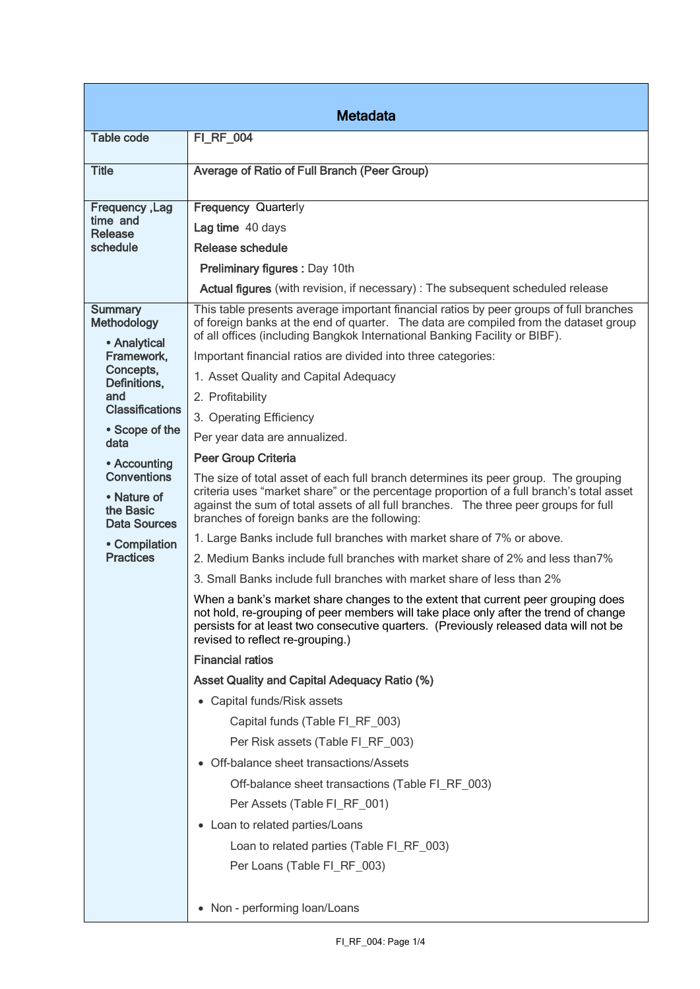| <b>Metadata</b>                                                                                                                                                                                                                                                            |                                                                                                                                                                                                                                                                                                                                                                                                                                                                                                                                                                                                                                                                                                                                                                                                                                                                                                                                                                                                                                                                                                                                                                                                                                                                                                                                                                                                                                                                                                                                                                                                                                                                                                                    |  |
|----------------------------------------------------------------------------------------------------------------------------------------------------------------------------------------------------------------------------------------------------------------------------|--------------------------------------------------------------------------------------------------------------------------------------------------------------------------------------------------------------------------------------------------------------------------------------------------------------------------------------------------------------------------------------------------------------------------------------------------------------------------------------------------------------------------------------------------------------------------------------------------------------------------------------------------------------------------------------------------------------------------------------------------------------------------------------------------------------------------------------------------------------------------------------------------------------------------------------------------------------------------------------------------------------------------------------------------------------------------------------------------------------------------------------------------------------------------------------------------------------------------------------------------------------------------------------------------------------------------------------------------------------------------------------------------------------------------------------------------------------------------------------------------------------------------------------------------------------------------------------------------------------------------------------------------------------------------------------------------------------------|--|
| <b>Table code</b>                                                                                                                                                                                                                                                          | <b>FI_RF_004</b>                                                                                                                                                                                                                                                                                                                                                                                                                                                                                                                                                                                                                                                                                                                                                                                                                                                                                                                                                                                                                                                                                                                                                                                                                                                                                                                                                                                                                                                                                                                                                                                                                                                                                                   |  |
| <b>Title</b>                                                                                                                                                                                                                                                               | Average of Ratio of Full Branch (Peer Group)                                                                                                                                                                                                                                                                                                                                                                                                                                                                                                                                                                                                                                                                                                                                                                                                                                                                                                                                                                                                                                                                                                                                                                                                                                                                                                                                                                                                                                                                                                                                                                                                                                                                       |  |
| <b>Frequency, Lag</b><br>time and<br>Release<br>schedule                                                                                                                                                                                                                   | <b>Frequency Quarterly</b><br>Lag time 40 days<br>Release schedule<br>Preliminary figures: Day 10th<br>Actual figures (with revision, if necessary) : The subsequent scheduled release                                                                                                                                                                                                                                                                                                                                                                                                                                                                                                                                                                                                                                                                                                                                                                                                                                                                                                                                                                                                                                                                                                                                                                                                                                                                                                                                                                                                                                                                                                                             |  |
| <b>Summary</b><br>Methodology<br>• Analytical<br>Framework,<br>Concepts,<br>Definitions,<br>and<br><b>Classifications</b><br>• Scope of the<br>data<br>• Accounting<br><b>Conventions</b><br>• Nature of<br>the Basic<br>Data Sources<br>• Compilation<br><b>Practices</b> | This table presents average important financial ratios by peer groups of full branches<br>of foreign banks at the end of quarter. The data are compiled from the dataset group<br>of all offices (including Bangkok International Banking Facility or BIBF).<br>Important financial ratios are divided into three categories:<br>1. Asset Quality and Capital Adequacy<br>2. Profitability<br>3. Operating Efficiency<br>Per year data are annualized.<br>Peer Group Criteria<br>The size of total asset of each full branch determines its peer group. The grouping<br>criteria uses "market share" or the percentage proportion of a full branch's total asset<br>against the sum of total assets of all full branches. The three peer groups for full<br>branches of foreign banks are the following:<br>1. Large Banks include full branches with market share of 7% or above.<br>2. Medium Banks include full branches with market share of 2% and less than 7%<br>3. Small Banks include full branches with market share of less than 2%<br>When a bank's market share changes to the extent that current peer grouping does<br>not hold, re-grouping of peer members will take place only after the trend of change<br>persists for at least two consecutive quarters. (Previously released data will not be<br>revised to reflect re-grouping.)<br><b>Financial ratios</b><br><b>Asset Quality and Capital Adequacy Ratio (%)</b><br>• Capital funds/Risk assets<br>Capital funds (Table FI_RF_003)<br>Per Risk assets (Table FI_RF_003)<br>• Off-balance sheet transactions/Assets<br>Off-balance sheet transactions (Table FI_RF_003)<br>Per Assets (Table FI_RF_001)<br>• Loan to related parties/Loans |  |
|                                                                                                                                                                                                                                                                            | Loan to related parties (Table FI_RF_003)<br>Per Loans (Table FI_RF_003)<br>• Non - performing loan/Loans                                                                                                                                                                                                                                                                                                                                                                                                                                                                                                                                                                                                                                                                                                                                                                                                                                                                                                                                                                                                                                                                                                                                                                                                                                                                                                                                                                                                                                                                                                                                                                                                          |  |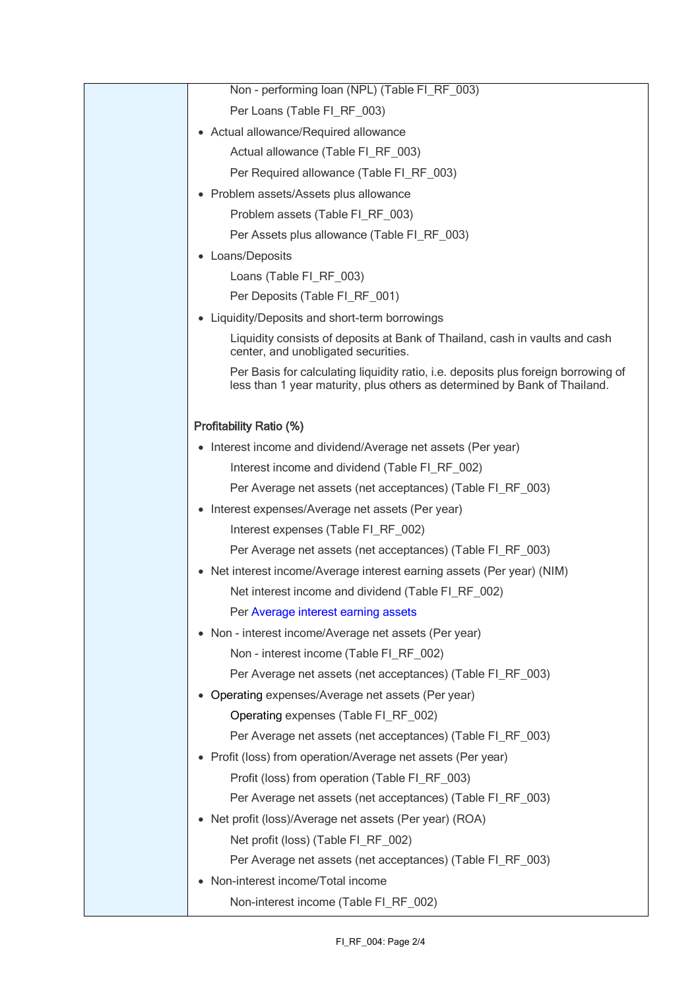|           | Non - performing loan (NPL) (Table FI_RF_003)                                                                                                                   |
|-----------|-----------------------------------------------------------------------------------------------------------------------------------------------------------------|
|           | Per Loans (Table FI_RF_003)                                                                                                                                     |
|           | • Actual allowance/Required allowance                                                                                                                           |
|           | Actual allowance (Table FI RF 003)                                                                                                                              |
|           | Per Required allowance (Table FI_RF_003)                                                                                                                        |
|           | • Problem assets/Assets plus allowance                                                                                                                          |
|           | Problem assets (Table FI_RF_003)                                                                                                                                |
|           | Per Assets plus allowance (Table FI RF 003)                                                                                                                     |
| $\bullet$ | Loans/Deposits                                                                                                                                                  |
|           | Loans (Table FI_RF_003)                                                                                                                                         |
|           | Per Deposits (Table FI_RF_001)                                                                                                                                  |
|           | • Liquidity/Deposits and short-term borrowings                                                                                                                  |
|           | Liquidity consists of deposits at Bank of Thailand, cash in vaults and cash<br>center, and unobligated securities.                                              |
|           | Per Basis for calculating liquidity ratio, i.e. deposits plus foreign borrowing of<br>less than 1 year maturity, plus others as determined by Bank of Thailand. |
|           | <b>Profitability Ratio (%)</b>                                                                                                                                  |
|           | • Interest income and dividend/Average net assets (Per year)                                                                                                    |
|           | Interest income and dividend (Table FI_RF_002)                                                                                                                  |
|           | Per Average net assets (net acceptances) (Table FI_RF_003)                                                                                                      |
| $\bullet$ | Interest expenses/Average net assets (Per year)                                                                                                                 |
|           | Interest expenses (Table FI_RF_002)                                                                                                                             |
|           | Per Average net assets (net acceptances) (Table FI_RF_003)                                                                                                      |
|           | • Net interest income/Average interest earning assets (Per year) (NIM)                                                                                          |
|           | Net interest income and dividend (Table FI_RF_002)                                                                                                              |
|           | Per Average interest earning assets                                                                                                                             |
|           | • Non - interest income/Average net assets (Per year)                                                                                                           |
|           | Non - interest income (Table FI_RF_002)                                                                                                                         |
|           | Per Average net assets (net acceptances) (Table FI_RF_003)                                                                                                      |
| $\bullet$ | Operating expenses/Average net assets (Per year)                                                                                                                |
|           | Operating expenses (Table FI RF 002)                                                                                                                            |
|           | Per Average net assets (net acceptances) (Table FI_RF_003)                                                                                                      |
|           | • Profit (loss) from operation/Average net assets (Per year)                                                                                                    |
|           | Profit (loss) from operation (Table FI_RF_003)                                                                                                                  |
|           | Per Average net assets (net acceptances) (Table FI_RF_003)                                                                                                      |
| $\bullet$ | Net profit (loss)/Average net assets (Per year) (ROA)                                                                                                           |
|           | Net profit (loss) (Table FI_RF_002)                                                                                                                             |
|           | Per Average net assets (net acceptances) (Table FI_RF_003)                                                                                                      |
|           | Non-interest income/Total income                                                                                                                                |
|           | Non-interest income (Table FI_RF_002)                                                                                                                           |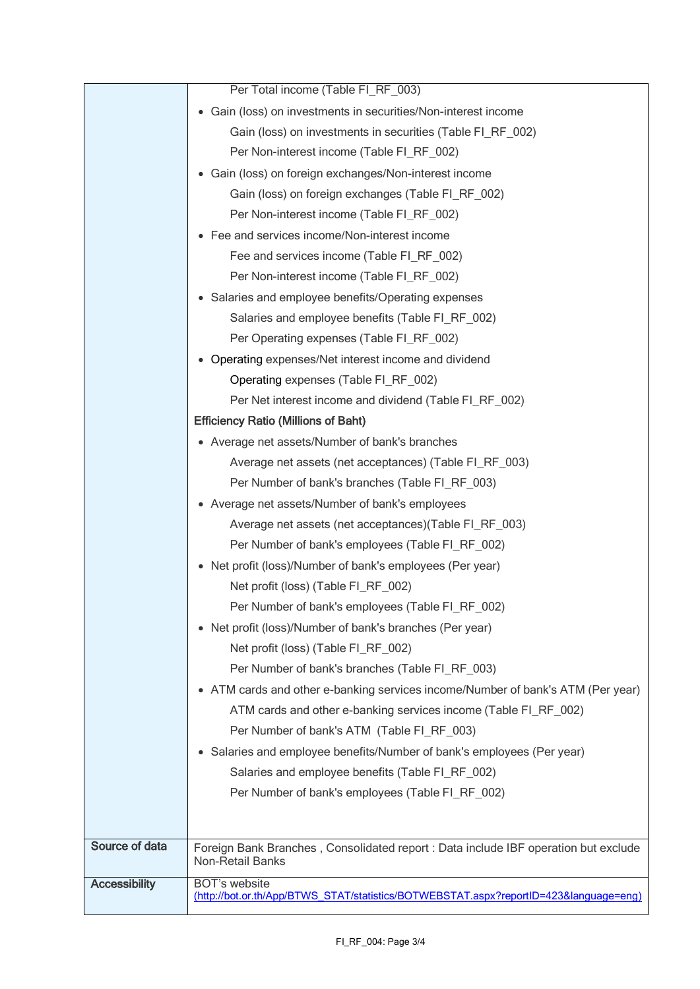|                      | Per Total income (Table FI_RF_003)                                                                             |
|----------------------|----------------------------------------------------------------------------------------------------------------|
|                      | • Gain (loss) on investments in securities/Non-interest income                                                 |
|                      | Gain (loss) on investments in securities (Table FI_RF_002)                                                     |
|                      | Per Non-interest income (Table FI_RF_002)                                                                      |
|                      | • Gain (loss) on foreign exchanges/Non-interest income                                                         |
|                      | Gain (loss) on foreign exchanges (Table FI RF 002)                                                             |
|                      | Per Non-interest income (Table FI_RF_002)                                                                      |
|                      | • Fee and services income/Non-interest income                                                                  |
|                      | Fee and services income (Table FI_RF_002)                                                                      |
|                      | Per Non-interest income (Table FI_RF_002)                                                                      |
|                      | • Salaries and employee benefits/Operating expenses                                                            |
|                      | Salaries and employee benefits (Table FI_RF_002)                                                               |
|                      | Per Operating expenses (Table FI_RF_002)                                                                       |
|                      | • Operating expenses/Net interest income and dividend                                                          |
|                      | Operating expenses (Table FI_RF_002)                                                                           |
|                      | Per Net interest income and dividend (Table FI RF 002)                                                         |
|                      | <b>Efficiency Ratio (Millions of Baht)</b>                                                                     |
|                      | • Average net assets/Number of bank's branches                                                                 |
|                      | Average net assets (net acceptances) (Table FI_RF_003)                                                         |
|                      | Per Number of bank's branches (Table FI_RF_003)                                                                |
|                      | • Average net assets/Number of bank's employees                                                                |
|                      | Average net assets (net acceptances)(Table FI_RF_003)                                                          |
|                      | Per Number of bank's employees (Table FI_RF_002)                                                               |
|                      | • Net profit (loss)/Number of bank's employees (Per year)                                                      |
|                      | Net profit (loss) (Table FI_RF_002)                                                                            |
|                      | Per Number of bank's employees (Table FI_RF_002)                                                               |
|                      | • Net profit (loss)/Number of bank's branches (Per year)                                                       |
|                      | Net profit (loss) (Table FI_RF_002)                                                                            |
|                      | Per Number of bank's branches (Table FI_RF_003)                                                                |
|                      | • ATM cards and other e-banking services income/Number of bank's ATM (Per year)                                |
|                      | ATM cards and other e-banking services income (Table FI RF 002)                                                |
|                      | Per Number of bank's ATM (Table FI RF 003)                                                                     |
|                      | Salaries and employee benefits/Number of bank's employees (Per year)<br>$\bullet$                              |
|                      | Salaries and employee benefits (Table FI_RF_002)                                                               |
|                      | Per Number of bank's employees (Table FI_RF_002)                                                               |
|                      |                                                                                                                |
| Source of data       |                                                                                                                |
|                      | Foreign Bank Branches, Consolidated report : Data include IBF operation but exclude<br><b>Non-Retail Banks</b> |
| <b>Accessibility</b> | <b>BOT's website</b>                                                                                           |
|                      | (http://bot.or.th/App/BTWS_STAT/statistics/BOTWEBSTAT.aspx?reportID=423&language=eng)                          |